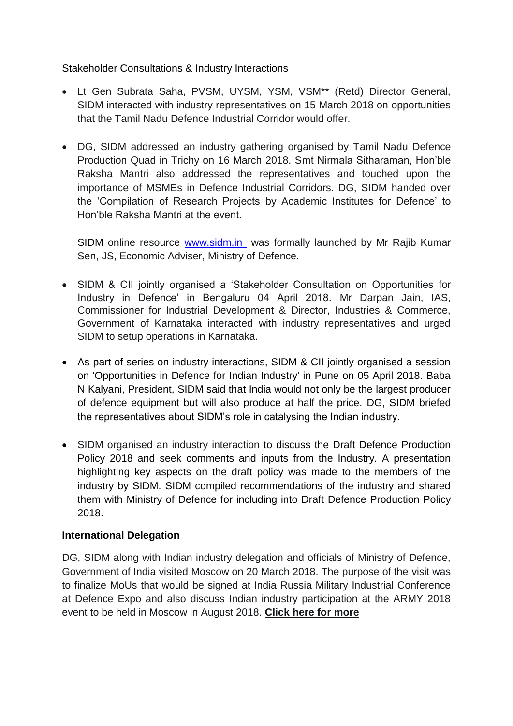Stakeholder Consultations & Industry Interactions

- Lt Gen Subrata Saha, PVSM, UYSM, YSM, VSM\*\* (Retd) Director General, SIDM interacted with industry representatives on 15 March 2018 on opportunities that the Tamil Nadu Defence Industrial Corridor would offer.
- DG, SIDM addressed an industry gathering organised by Tamil Nadu Defence Production Quad in Trichy on 16 March 2018. Smt Nirmala Sitharaman, Hon'ble Raksha Mantri also addressed the representatives and touched upon the importance of MSMEs in Defence Industrial Corridors. DG, SIDM handed over the 'Compilation of Research Projects by Academic Institutes for Defence' to Hon'ble Raksha Mantri at the event.

SIDM online resource www.sidm.in was formally launched by Mr Rajib Kumar Sen, JS, Economic Adviser, Ministry of Defence.

- SIDM & CII jointly organised a 'Stakeholder Consultation on Opportunities for Industry in Defence' in Bengaluru 04 April 2018. Mr Darpan Jain, IAS, Commissioner for Industrial Development & Director, Industries & Commerce, Government of Karnataka interacted with industry representatives and urged SIDM to setup operations in Karnataka.
- As part of series on industry interactions, SIDM & CII jointly organised a session on 'Opportunities in Defence for Indian Industry' in Pune on 05 April 2018. Baba N Kalyani, President, SIDM said that India would not only be the largest producer of defence equipment but will also produce at half the price. DG, SIDM briefed the representatives about SIDM's role in catalysing the Indian industry.
- SIDM organised an industry interaction to discuss the Draft Defence Production Policy 2018 and seek comments and inputs from the Industry. A presentation highlighting key aspects on the draft policy was made to the members of the industry by SIDM. SIDM compiled recommendations of the industry and shared them with Ministry of Defence for including into Draft Defence Production Policy 2018.

# **International Delegation**

DG, SIDM along with Indian industry delegation and officials of Ministry of Defence, Government of India visited Moscow on 20 March 2018. The purpose of the visit was to finalize MoUs that would be signed at India Russia Military Industrial Conference at Defence Expo and also discuss Indian industry participation at the ARMY 2018 event to be held in Moscow in August 2018. **Click here for more**